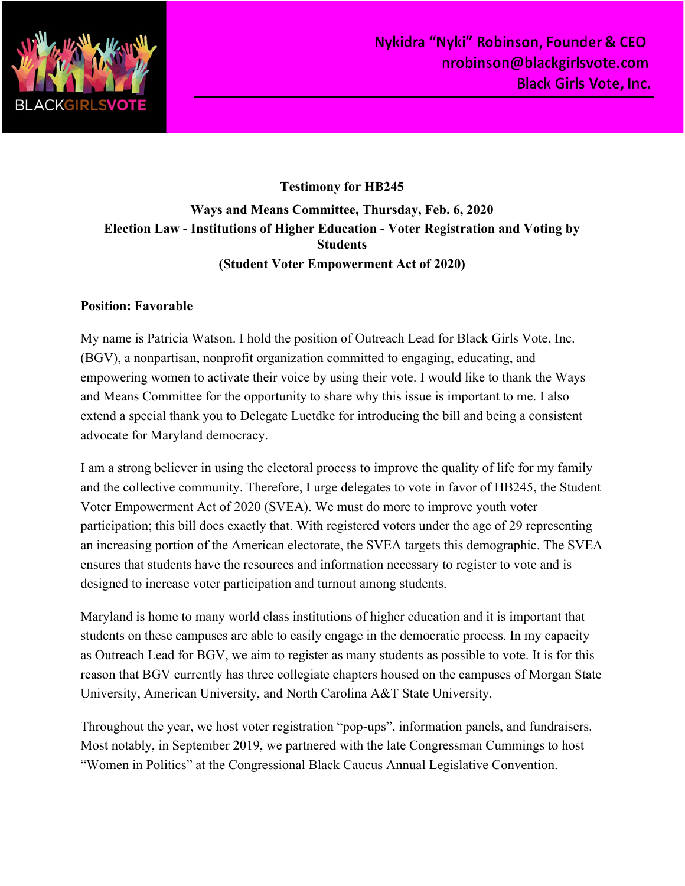

## **Testimony for HB245 Ways and Means Committee, Thursday, Feb. 6, 2020 Election Law - Institutions of Higher Education - Voter Registration and Voting by Students (Student Voter Empowerment Act of 2020)**

## **Position: Favorable**

My name is Patricia Watson. I hold the position of Outreach Lead for Black Girls Vote, Inc. (BGV), a nonpartisan, nonprofit organization committed to engaging, educating, and empowering women to activate their voice by using their vote. I would like to thank the Ways and Means Committee for the opportunity to share why this issue is important to me. I also extend a special thank you to Delegate Luetdke for introducing the bill and being a consistent advocate for Maryland democracy.

I am a strong believer in using the electoral process to improve the quality of life for my family and the collective community. Therefore, I urge delegates to vote in favor of HB245, the Student Voter Empowerment Act of 2020 (SVEA). We must do more to improve youth voter participation; this bill does exactly that. With registered voters under the age of 29 representing an increasing portion of the American electorate, the SVEA targets this demographic. The SVEA ensures that students have the resources and information necessary to register to vote and is designed to increase voter participation and turnout among students.

Maryland is home to many world class institutions of higher education and it is important that students on these campuses are able to easily engage in the democratic process. In my capacity as Outreach Lead for BGV, we aim to register as many students as possible to vote. It is for this reason that BGV currently has three collegiate chapters housed on the campuses of Morgan State University, American University, and North Carolina A&T State University.

Throughout the year, we host voter registration "pop-ups", information panels, and fundraisers. Most notably, in September 2019, we partnered with the late Congressman Cummings to host "Women in Politics" at the Congressional Black Caucus Annual Legislative Convention.